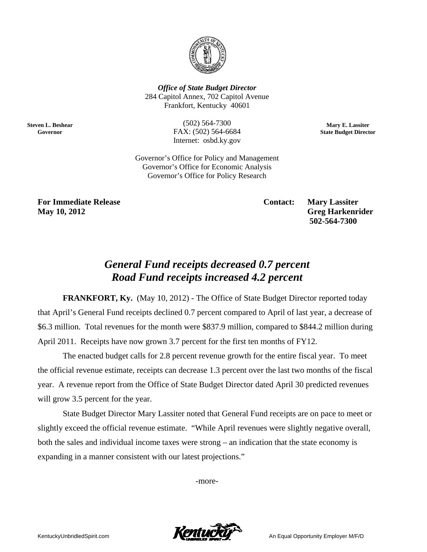

**Office of State Budget Director** 284 Capitol Annex, 702 Capitol Avenue Frankfort, Kentucky 40601

> $(502) 564 - 7300$ FAX: (502) 564-6684 Internet: osbd.ky.gov

Mary E. Lassiter **State Budget Director** 

Governor's Office for Policy and Management Governor's Office for Economic Analysis Governor's Office for Policy Research

**For Immediate Release** May 10, 2012

**Steven L. Beshear** 

Governor

**Contact:** 

**Mary Lassiter Greg Harkenrider** 502-564-7300

## **General Fund receipts decreased 0.7 percent** Road Fund receipts increased 4.2 percent

**FRANKFORT, Ky.** (May 10, 2012) - The Office of State Budget Director reported today that April's General Fund receipts declined 0.7 percent compared to April of last year, a decrease of \$6.3 million. Total revenues for the month were \$837.9 million, compared to \$844.2 million during April 2011. Receipts have now grown 3.7 percent for the first ten months of FY12.

The enacted budget calls for 2.8 percent revenue growth for the entire fiscal year. To meet the official revenue estimate, receipts can decrease 1.3 percent over the last two months of the fiscal year. A revenue report from the Office of State Budget Director dated April 30 predicted revenues will grow 3.5 percent for the year.

State Budget Director Mary Lassiter noted that General Fund receipts are on pace to meet or slightly exceed the official revenue estimate. "While April revenues were slightly negative overall, both the sales and individual income taxes were strong – an indication that the state economy is expanding in a manner consistent with our latest projections."

-more-

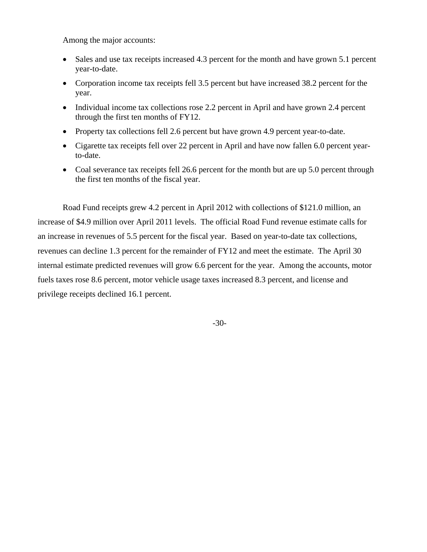Among the major accounts:

- Sales and use tax receipts increased 4.3 percent for the month and have grown 5.1 percent year-to-date.
- Corporation income tax receipts fell 3.5 percent but have increased 38.2 percent for the year.
- Individual income tax collections rose 2.2 percent in April and have grown 2.4 percent through the first ten months of FY12.
- Property tax collections fell 2.6 percent but have grown 4.9 percent year-to-date.
- Cigarette tax receipts fell over 22 percent in April and have now fallen 6.0 percent yearto-date.
- Coal severance tax receipts fell 26.6 percent for the month but are up 5.0 percent through the first ten months of the fiscal year.

Road Fund receipts grew 4.2 percent in April 2012 with collections of \$121.0 million, an increase of \$4.9 million over April 2011 levels. The official Road Fund revenue estimate calls for an increase in revenues of 5.5 percent for the fiscal year. Based on year-to-date tax collections, revenues can decline 1.3 percent for the remainder of FY12 and meet the estimate. The April 30 internal estimate predicted revenues will grow 6.6 percent for the year. Among the accounts, motor fuels taxes rose 8.6 percent, motor vehicle usage taxes increased 8.3 percent, and license and privilege receipts declined 16.1 percent.

-30-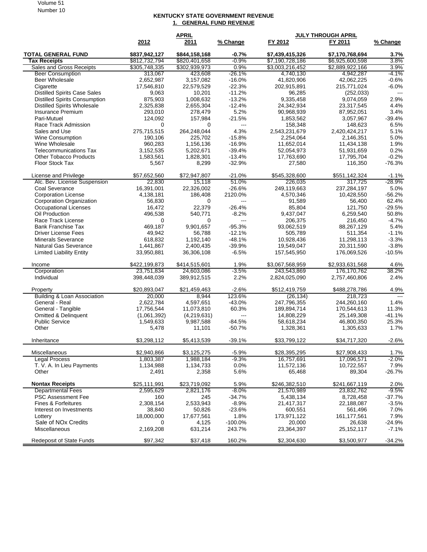## Volume 51 Number 10

## **KENTUCKY STATE GOVERNMENT REVENUE 1. GENERAL FUND REVENUE**

|                                        |               | <b>APRIL</b>  |           | <b>JULY THROUGH APRIL</b> |                 |          |
|----------------------------------------|---------------|---------------|-----------|---------------------------|-----------------|----------|
|                                        | 2012          | 2011          | % Change  | FY 2012                   | FY 2011         | % Change |
| <b>TOTAL GENERAL FUND</b>              | \$837,942,127 | \$844,158,168 | $-0.7%$   | \$7,439,415,326           | \$7,170,768,694 | 3.7%     |
| <b>Tax Receipts</b>                    | \$812,732,794 | \$820,401,658 | $-0.9%$   | \$7,190,728,186           | \$6,925,600,598 | 3.8%     |
| <b>Sales and Gross Receipts</b>        | \$305,748,335 | \$302,939,973 | 0.9%      | \$3,003,216,452           | \$2,889,922,166 | 3.9%     |
| <b>Beer Consumption</b>                | 313,067       | 423,608       | $-26.1%$  | 4,740,130                 | 4,942,287       | $-4.1%$  |
| <b>Beer Wholesale</b>                  | 2.652.987     | 3,157,082     | $-16.0%$  | 41,820,906                | 42,062,225      | $-0.6%$  |
| Cigarette                              | 17,546,810    | 22,579,529    | $-22.3%$  | 202,915,891               | 215,771,024     | $-6.0\%$ |
| <b>Distilled Spirits Case Sales</b>    | 9,063         | 10,201        | $-11.2%$  | 96,285                    | (252, 033)      | $---$    |
| <b>Distilled Spirits Consumption</b>   | 875,903       | 1,008,632     | $-13.2%$  | 9,335,458                 | 9,074,059       | 2.9%     |
| Distilled Spirits Wholesale            | 2,325,838     | 2,655,304     | $-12.4%$  | 24,342,934                | 23,317,545      | 4.4%     |
| Insurance Premium                      | 293,010       | 278,479       | 5.2%      | 90,968,939                | 87,952,051      | 3.4%     |
| Pari-Mutuel                            | 124,092       | 157,984       | $-21.5%$  | 1,853,562                 | 3,057,967       | $-39.4%$ |
| Race Track Admission                   | 0             | 0             | $---$     | 158,348                   | 148,623         | 6.5%     |
| Sales and Use                          | 275,715,515   | 264,248,044   | 4.3%      | 2,543,231,679             | 2,420,424,217   | 5.1%     |
| Wine Consumption                       | 190,106       | 225,702       | $-15.8%$  | 2,254,064                 | 2,146,351       | 5.0%     |
| Wine Wholesale                         | 960,283       | 1,156,136     | $-16.9%$  | 11,652,014                | 11,434,138      | 1.9%     |
| <b>Telecommunications Tax</b>          | 3,152,535     | 5,202,671     | $-39.4%$  | 52,054,973                | 51,931,659      | 0.2%     |
| <b>Other Tobacco Products</b>          | 1,583,561     | 1,828,301     | $-13.4%$  | 17,763,690                | 17,795,704      | $-0.2\%$ |
| <b>Floor Stock Tax</b>                 | 5,567         | 8,299         | $-32.9%$  | 27,580                    | 116,350         | $-76.3%$ |
| License and Privilege                  | \$57,652,560  | \$72,947,807  | $-21.0%$  | \$545,328,600             | \$551,142,324   | $-1.1%$  |
| Alc. Bev. License Suspension           | 22,830        | 15,118        | 51.0%     | 226,035                   | 317,725         | $-28.9%$ |
| Coal Severance                         | 16,391,001    | 22,326,002    | $-26.6%$  | 249,119,663               | 237,284,197     | 5.0%     |
| <b>Corporation License</b>             | 4,138,181     | 186,408       | 2120.0%   | 4,570,346                 | 10,428,550      | $-56.2%$ |
| <b>Corporation Organization</b>        | 56,830        | $\Omega$      | ---       | 91,589                    | 56,400          | 62.4%    |
| <b>Occupational Licenses</b>           | 16,472        | 22,379        | $-26.4%$  | 85,804                    | 121,750         | $-29.5%$ |
| Oil Production                         | 496,538       | 540,771       | $-8.2%$   | 9,437,047                 | 6,259,540       | 50.8%    |
| Race Track License                     | 0             | 0             | $---$     | 206,375                   | 216,450         | $-4.7%$  |
| <b>Bank Franchise Tax</b>              | 469,187       | 9,901,657     | $-95.3%$  | 93,062,519                | 88,267,129      | 5.4%     |
| <b>Driver License Fees</b>             | 49,942        | 56,788        | $-12.1%$  | 505,789                   | 511,354         | $-1.1%$  |
| <b>Minerals Severance</b>              | 618,832       | 1,192,140     | $-48.1%$  | 10,928,436                | 11,298,113      | $-3.3%$  |
| Natural Gas Severance                  | 1,441,867     | 2,400,435     | $-39.9%$  | 19,549,047                | 20,311,590      | $-3.8%$  |
| <b>Limited Liability Entity</b>        | 33,950,881    | 36,306,108    | $-6.5%$   | 157,545,950               | 176,069,526     | $-10.5%$ |
| Income                                 | \$422,199,873 | \$414,515,601 | 1.9%      | \$3,067,568,959           | \$2,933,631,568 | 4.6%     |
| Corporation                            | 23,751,834    | 24,603,086    | $-3.5%$   | 243,543,869               | 176, 170, 762   | 38.2%    |
| Individual                             | 398,448,039   | 389,912,515   | 2.2%      | 2,824,025,090             | 2,757,460,806   | 2.4%     |
| Property                               | \$20,893,047  | \$21,459,463  | $-2.6%$   | \$512,419,759             | \$488,278,786   | 4.9%     |
| <b>Building &amp; Loan Association</b> | 20,000        | 8,944         | 123.6%    | (26, 134)                 | 218,723         | $  -$    |
| General - Real                         | 2,622,784     | 4,597,651     | $-43.0%$  | 247,796,355               | 244,260,160     | 1.4%     |
| General - Tangible                     | 17,756,544    | 11,073,810    | 60.3%     | 189,894,714               | 170,544,613     | 11.3%    |
| Omitted & Delinquent                   | (1,061,392)   | (4,219,631)   | $---$     | 14,808,229                | 25,149,308      | $-41.1%$ |
| <b>Public Service</b>                  | 1,549,633     | 9,987,588     | $-84.5%$  | 58,618,234                | 46,800,350      | 25.3%    |
| Other                                  | 5,478         | 11,101        | $-50.7%$  | 1,328,361                 | 1,305,633       | 1.7%     |
| Inheritance                            | \$3,298,112   | \$5,413,539   | $-39.1%$  | \$33,799,122              | \$34,717,320    | $-2.6%$  |
| Miscellaneous                          | \$2,940,866   | \$3,125,275   | $-5.9%$   | \$28,395,295              | \$27,908,433    | 1.7%     |
| <b>Legal Process</b>                   | 1,803,387     | 1,988,184     | $-9.3%$   | 16,757,691                | 17,096,571      | $-2.0\%$ |
| T. V. A. In Lieu Payments              | 1,134,988     | 1,134,733     | 0.0%      | 11,572,136                | 10,722,557      | 7.9%     |
| Other                                  | 2,491         | 2,358         | 5.6%      | 65,468                    | 89,304          | $-26.7%$ |
| <b>Nontax Receipts</b>                 | \$25,111,991  | \$23,719,092  | 5.9%      | \$246,382,510             | \$241,667,119   | 2.0%     |
| <b>Departmental Fees</b>               | 2,595,629     | 2,821,176     | $-8.0%$   | 21,570,989                | 23,832,762      | $-9.5%$  |
| PSC Assessment Fee                     | 160           | 245           | $-34.7%$  | 5,438,134                 | 8,728,458       | $-37.7%$ |
| Fines & Forfeitures                    | 2,308,154     | 2,533,943     | $-8.9%$   | 21,417,317                | 22,188,087      | $-3.5%$  |
| Interest on Investments                | 38,840        | 50,826        | $-23.6%$  | 600,551                   | 561,496         | 7.0%     |
| Lottery                                | 18,000,000    | 17,677,561    | 1.8%      | 173,971,122               | 161, 177, 561   | 7.9%     |
| Sale of NOx Credits                    | 0             | 4,125         | $-100.0%$ | 20,000                    | 26,638          | $-24.9%$ |
| Miscellaneous                          | 2,169,208     | 631,214       | 243.7%    | 23,364,397                | 25, 152, 117    | $-7.1%$  |
| <b>Redeposit of State Funds</b>        | \$97,342      | \$37,418      | 160.2%    | \$2,304,630               | \$3,500,977     | $-34.2%$ |